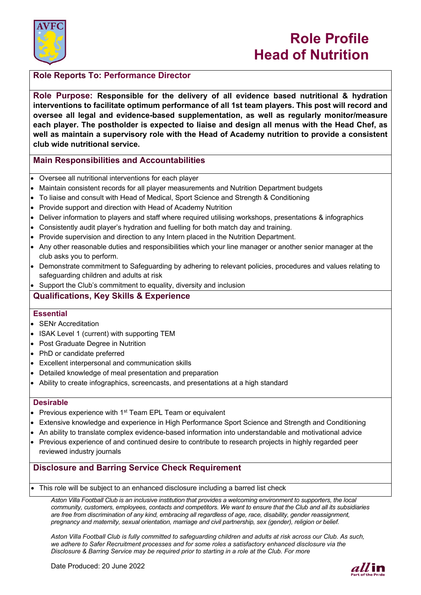

# **Role Profile Head of Nutrition**

# **Role Reports To: Performance Director**

**Role Purpose: Responsible for the delivery of all evidence based nutritional & hydration interventions to facilitate optimum performance of all 1st team players. This post will record and oversee all legal and evidence-based supplementation, as well as regularly monitor/measure each player. The postholder is expected to liaise and design all menus with the Head Chef, as well as maintain a supervisory role with the Head of Academy nutrition to provide a consistent club wide nutritional service.**

# **Main Responsibilities and Accountabilities**

- Oversee all nutritional interventions for each player
- Maintain consistent records for all player measurements and Nutrition Department budgets
- To liaise and consult with Head of Medical, Sport Science and Strength & Conditioning
- Provide support and direction with Head of Academy Nutrition
- Deliver information to players and staff where required utilising workshops, presentations & infographics
- Consistently audit player's hydration and fuelling for both match day and training.
- Provide supervision and direction to any Intern placed in the Nutrition Department.
- Any other reasonable duties and responsibilities which your line manager or another senior manager at the club asks you to perform.
- Demonstrate commitment to Safeguarding by adhering to relevant policies, procedures and values relating to safeguarding children and adults at risk

Support the Club's commitment to equality, diversity and inclusion

# **Qualifications, Key Skills & Experience**

### **Essential**

- **SENr Accreditation**
- ISAK Level 1 (current) with supporting TEM
- Post Graduate Degree in Nutrition
- PhD or candidate preferred
- Excellent interpersonal and communication skills
- Detailed knowledge of meal presentation and preparation
- Ability to create infographics, screencasts, and presentations at a high standard

### **Desirable**

- Previous experience with  $1<sup>st</sup>$  Team EPL Team or equivalent
- Extensive knowledge and experience in High Performance Sport Science and Strength and Conditioning
- An ability to translate complex evidence-based information into understandable and motivational advice
- Previous experience of and continued desire to contribute to research projects in highly regarded peer reviewed industry journals

# **Disclosure and Barring Service Check Requirement**

• This role will be subject to an enhanced disclosure including a barred list check

*Aston Villa Football Club is an inclusive institution that provides a welcoming environment to supporters, the local community, customers, employees, contacts and competitors. We want to ensure that the Club and all its subsidiaries are free from discrimination of any kind, embracing all regardless of age, race, disability, gender reassignment, pregnancy and maternity, sexual orientation, marriage and civil partnership, sex (gender), religion or belief.*

*Aston Villa Football Club is fully committed to safeguarding children and adults at risk across our Club. As such, we adhere to Safer Recruitment processes and for some roles a satisfactory enhanced disclosure via the Disclosure & Barring Service may be required prior to starting in a role at the Club. For more*